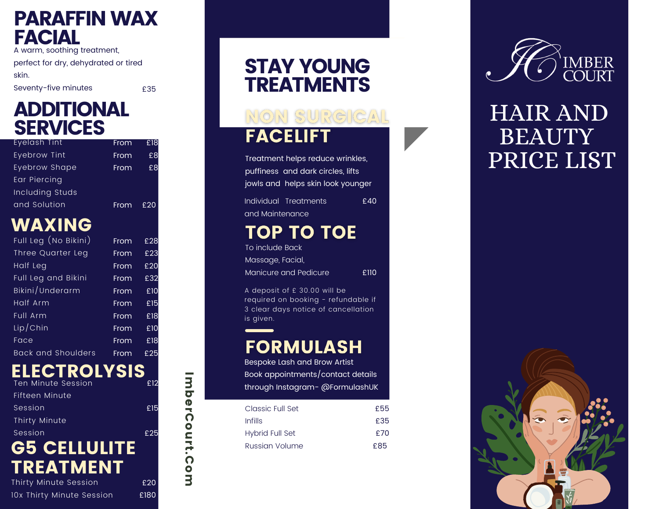## PARAFFIN WAX **FACIAL**

A warm, soothing treatment,

perfect for dry, dehydrated or tired s kin.

Seve n t y - fiv e min u t e s

£ 3 5

ImberCourt.Com

**Court.Com** 

mber

 $E15$ 

# ADDITIONAL **SERVICES**

| Eyelash Tint    | From | £18 |
|-----------------|------|-----|
| Eyebrow Tint    | From | £8  |
| Eyebrow Shape   | From | £8  |
| Ear Piercing    |      |     |
| Including Studs |      |     |
| and Solution    | From | E20 |

# WAXING

| Full Leg (No Bikini)      | <b>From</b> | £28 |
|---------------------------|-------------|-----|
| Three Quarter Leg         | From        | £23 |
| Half Leg                  | From        | £20 |
| Full Leg and Bikini       | From        | £32 |
| Bikini/Underarm           | From        | £10 |
| Half Arm                  | From        | £15 |
| Full Arm                  | From        | £18 |
| Lip/Chin                  | From        | £10 |
| Face                      | From        | £18 |
| <b>Back and Shoulders</b> | From        | £25 |
|                           |             |     |

#### ELECTROLYSIS £ 1 2

- Ten Minute Session Fifteen Minute
- 

S e s sio n

Thirty Minute

S e s sio n

#### £25 **G5 CELLULITE TREATMENT**

|  |  | Thirty Minute Session     |  |
|--|--|---------------------------|--|
|  |  | 10x Thirty Minute Session |  |

## **STAY YOUNG TREATMENTS**

### NON SURGICAL **FACELIFT**

A d e p o sit o f £ 3 0.0 0 will b e required on booking - retundable if 3 clear days notice of cancellation. Ireatment helps reduce wrinkles,<br>puffiness and dark circles, lifts<br>jowls and helps skin look younger<br>Individual Treatments E4<br>and Maintenance<br>**TOP TOTOE**<br>To include Back<br>Massage, Facial,<br>Manicure and Pedicure E11<br>A deposit Individual Treatments Individual Treatments E40<br>and Maintenance To include Back Massage, Facial, Manicure and Pedicure **E110** 

# **FORMULASH**

Bespoke Lash and Brow Artist Book appointments/contact details through Instagram- @FormulashUK

| Classic Full Set       | £55 |
|------------------------|-----|
| <b>Infills</b>         | £35 |
| <b>Hybrid Full Set</b> | £70 |
| Russian Volume         | £85 |



# HAIR AND **BEAUTY** PRICE LIST